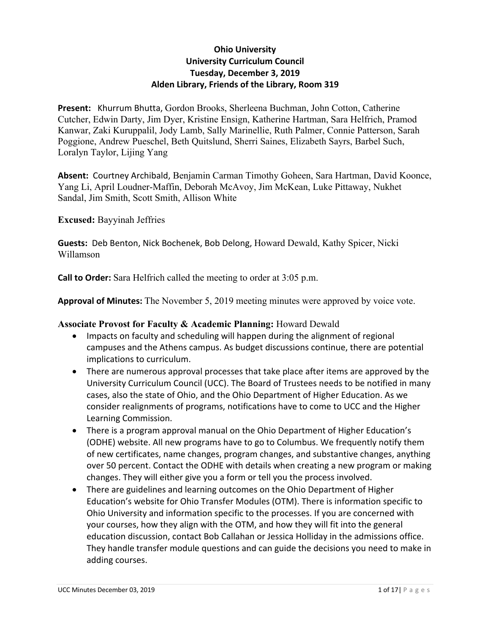## **Ohio University University Curriculum Council Tuesday, December 3, 2019 Alden Library, Friends of the Library, Room 319**

**Present:** Khurrum Bhutta, Gordon Brooks, Sherleena Buchman, John Cotton, Catherine Cutcher, Edwin Darty, Jim Dyer, Kristine Ensign, Katherine Hartman, Sara Helfrich, Pramod Kanwar, Zaki Kuruppalil, Jody Lamb, Sally Marinellie, Ruth Palmer, Connie Patterson, Sarah Poggione, Andrew Pueschel, Beth Quitslund, Sherri Saines, Elizabeth Sayrs, Barbel Such, Loralyn Taylor, Lijing Yang

**Absent:** Courtney Archibald, Benjamin Carman Timothy Goheen, Sara Hartman, David Koonce, Yang Li, April Loudner-Maffin, Deborah McAvoy, Jim McKean, Luke Pittaway, Nukhet Sandal, Jim Smith, Scott Smith, Allison White

**Excused:** Bayyinah Jeffries

**Guests:** Deb Benton, Nick Bochenek, Bob Delong, Howard Dewald, Kathy Spicer, Nicki Willamson

**Call to Order:** Sara Helfrich called the meeting to order at 3:05 p.m.

**Approval of Minutes:** The November 5, 2019 meeting minutes were approved by voice vote.

### **Associate Provost for Faculty & Academic Planning:** Howard Dewald

- Impacts on faculty and scheduling will happen during the alignment of regional campuses and the Athens campus. As budget discussions continue, there are potential implications to curriculum.
- There are numerous approval processes that take place after items are approved by the University Curriculum Council (UCC). The Board of Trustees needs to be notified in many cases, also the state of Ohio, and the Ohio Department of Higher Education. As we consider realignments of programs, notifications have to come to UCC and the Higher Learning Commission.
- There is a program approval manual on the Ohio Department of Higher Education's (ODHE) website. All new programs have to go to Columbus. We frequently notify them of new certificates, name changes, program changes, and substantive changes, anything over 50 percent. Contact the ODHE with details when creating a new program or making changes. They will either give you a form or tell you the process involved.
- There are guidelines and learning outcomes on the Ohio Department of Higher Education's website for Ohio Transfer Modules (OTM). There is information specific to Ohio University and information specific to the processes. If you are concerned with your courses, how they align with the OTM, and how they will fit into the general education discussion, contact Bob Callahan or Jessica Holliday in the admissions office. They handle transfer module questions and can guide the decisions you need to make in adding courses.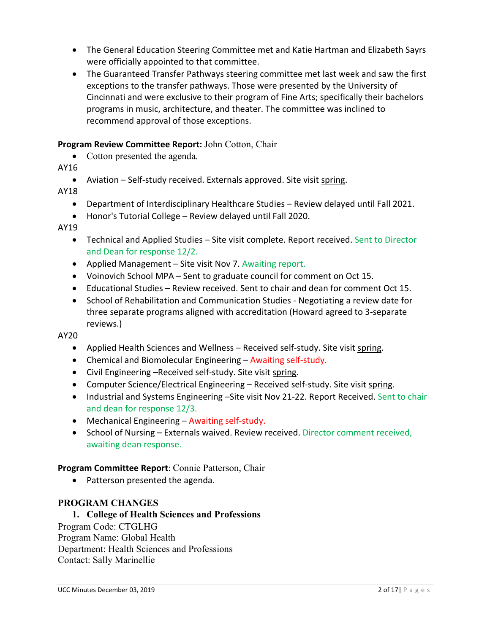- The General Education Steering Committee met and Katie Hartman and Elizabeth Sayrs were officially appointed to that committee.
- The Guaranteed Transfer Pathways steering committee met last week and saw the first exceptions to the transfer pathways. Those were presented by the University of Cincinnati and were exclusive to their program of Fine Arts; specifically their bachelors programs in music, architecture, and theater. The committee was inclined to recommend approval of those exceptions.

## **Program Review Committee Report:** John Cotton, Chair

• Cotton presented the agenda.

AY16

• Aviation – Self-study received. Externals approved. Site visit spring.

AY18

- Department of Interdisciplinary Healthcare Studies Review delayed until Fall 2021.
- Honor's Tutorial College Review delayed until Fall 2020.

AY19

- Technical and Applied Studies Site visit complete. Report received. Sent to Director and Dean for response 12/2.
- Applied Management Site visit Nov 7. Awaiting report.
- Voinovich School MPA Sent to graduate council for comment on Oct 15.
- Educational Studies Review received. Sent to chair and dean for comment Oct 15.
- School of Rehabilitation and Communication Studies Negotiating a review date for three separate programs aligned with accreditation (Howard agreed to 3-separate reviews.)

AY20

- Applied Health Sciences and Wellness Received self-study. Site visit spring.
- Chemical and Biomolecular Engineering Awaiting self-study.
- Civil Engineering –Received self-study. Site visit spring.
- Computer Science/Electrical Engineering Received self-study. Site visit spring.
- Industrial and Systems Engineering –Site visit Nov 21-22. Report Received. Sent to chair and dean for response 12/3.
- Mechanical Engineering Awaiting self-study.
- School of Nursing Externals waived. Review received. Director comment received, awaiting dean response.

**Program Committee Report**: Connie Patterson, Chair

• Patterson presented the agenda.

### **PROGRAM CHANGES**

### **1. College of Health Sciences and Professions**

Program Code: CTGLHG Program Name: Global Health Department: Health Sciences and Professions Contact: Sally Marinellie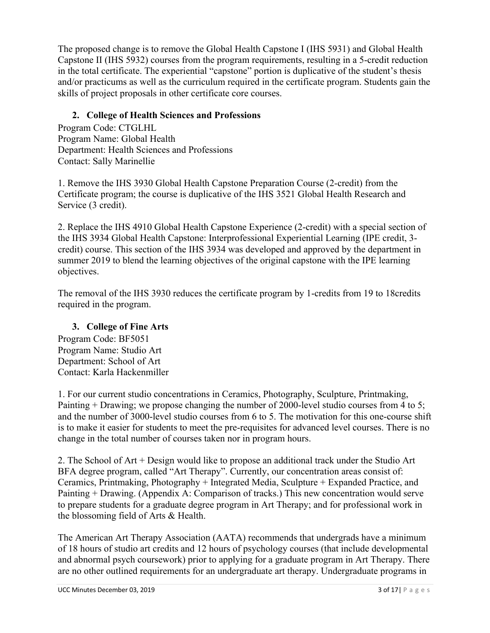The proposed change is to remove the Global Health Capstone I (IHS 5931) and Global Health Capstone II (IHS 5932) courses from the program requirements, resulting in a 5-credit reduction in the total certificate. The experiential "capstone" portion is duplicative of the student's thesis and/or practicums as well as the curriculum required in the certificate program. Students gain the skills of project proposals in other certificate core courses.

# **2. College of Health Sciences and Professions**

Program Code: CTGLHL Program Name: Global Health Department: Health Sciences and Professions Contact: Sally Marinellie

1. Remove the IHS 3930 Global Health Capstone Preparation Course (2-credit) from the Certificate program; the course is duplicative of the IHS 3521 Global Health Research and Service (3 credit).

2. Replace the IHS 4910 Global Health Capstone Experience (2-credit) with a special section of the IHS 3934 Global Health Capstone: Interprofessional Experiential Learning (IPE credit, 3 credit) course. This section of the IHS 3934 was developed and approved by the department in summer 2019 to blend the learning objectives of the original capstone with the IPE learning objectives.

The removal of the IHS 3930 reduces the certificate program by 1-credits from 19 to 18credits required in the program.

# **3. College of Fine Arts**

Program Code: BF5051 Program Name: Studio Art Department: School of Art Contact: Karla Hackenmiller

1. For our current studio concentrations in Ceramics, Photography, Sculpture, Printmaking, Painting + Drawing; we propose changing the number of 2000-level studio courses from 4 to 5; and the number of 3000-level studio courses from 6 to 5. The motivation for this one-course shift is to make it easier for students to meet the pre-requisites for advanced level courses. There is no change in the total number of courses taken nor in program hours.

2. The School of Art + Design would like to propose an additional track under the Studio Art BFA degree program, called "Art Therapy". Currently, our concentration areas consist of: Ceramics, Printmaking, Photography + Integrated Media, Sculpture + Expanded Practice, and Painting + Drawing. (Appendix A: Comparison of tracks.) This new concentration would serve to prepare students for a graduate degree program in Art Therapy; and for professional work in the blossoming field of Arts & Health.

The American Art Therapy Association (AATA) recommends that undergrads have a minimum of 18 hours of studio art credits and 12 hours of psychology courses (that include developmental and abnormal psych coursework) prior to applying for a graduate program in Art Therapy. There are no other outlined requirements for an undergraduate art therapy. Undergraduate programs in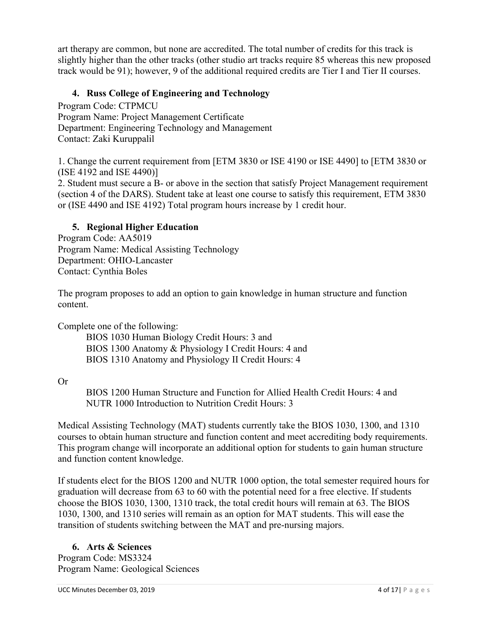art therapy are common, but none are accredited. The total number of credits for this track is slightly higher than the other tracks (other studio art tracks require 85 whereas this new proposed track would be 91); however, 9 of the additional required credits are Tier I and Tier II courses.

## **4. Russ College of Engineering and Technology**

Program Code: CTPMCU Program Name: Project Management Certificate Department: Engineering Technology and Management Contact: Zaki Kuruppalil

1. Change the current requirement from [ETM 3830 or ISE 4190 or ISE 4490] to [ETM 3830 or (ISE 4192 and ISE 4490)]

2. Student must secure a B- or above in the section that satisfy Project Management requirement (section 4 of the DARS). Student take at least one course to satisfy this requirement, ETM 3830 or (ISE 4490 and ISE 4192) Total program hours increase by 1 credit hour.

## **5. Regional Higher Education**

Program Code: AA5019 Program Name: Medical Assisting Technology Department: OHIO-Lancaster Contact: Cynthia Boles

The program proposes to add an option to gain knowledge in human structure and function content.

Complete one of the following:

BIOS 1030 Human Biology Credit Hours: 3 and BIOS 1300 Anatomy & Physiology I Credit Hours: 4 and BIOS 1310 Anatomy and Physiology II Credit Hours: 4

## Or

BIOS 1200 Human Structure and Function for Allied Health Credit Hours: 4 and NUTR 1000 Introduction to Nutrition Credit Hours: 3

Medical Assisting Technology (MAT) students currently take the BIOS 1030, 1300, and 1310 courses to obtain human structure and function content and meet accrediting body requirements. This program change will incorporate an additional option for students to gain human structure and function content knowledge.

If students elect for the BIOS 1200 and NUTR 1000 option, the total semester required hours for graduation will decrease from 63 to 60 with the potential need for a free elective. If students choose the BIOS 1030, 1300, 1310 track, the total credit hours will remain at 63. The BIOS 1030, 1300, and 1310 series will remain as an option for MAT students. This will ease the transition of students switching between the MAT and pre-nursing majors.

## **6. Arts & Sciences**

Program Code: MS3324 Program Name: Geological Sciences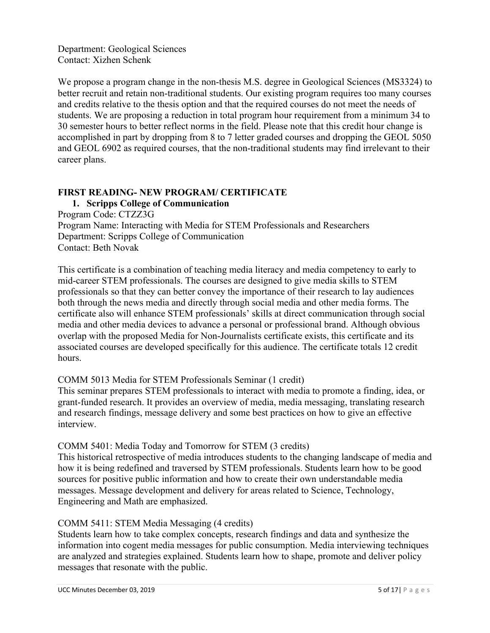Department: Geological Sciences Contact: Xizhen Schenk

We propose a program change in the non-thesis M.S. degree in Geological Sciences (MS3324) to better recruit and retain non-traditional students. Our existing program requires too many courses and credits relative to the thesis option and that the required courses do not meet the needs of students. We are proposing a reduction in total program hour requirement from a minimum 34 to 30 semester hours to better reflect norms in the field. Please note that this credit hour change is accomplished in part by dropping from 8 to 7 letter graded courses and dropping the GEOL 5050 and GEOL 6902 as required courses, that the non-traditional students may find irrelevant to their career plans.

## **FIRST READING- NEW PROGRAM/ CERTIFICATE**

## **1. Scripps College of Communication**

Program Code: CTZZ3G Program Name: Interacting with Media for STEM Professionals and Researchers Department: Scripps College of Communication Contact: Beth Novak

This certificate is a combination of teaching media literacy and media competency to early to mid-career STEM professionals. The courses are designed to give media skills to STEM professionals so that they can better convey the importance of their research to lay audiences both through the news media and directly through social media and other media forms. The certificate also will enhance STEM professionals' skills at direct communication through social media and other media devices to advance a personal or professional brand. Although obvious overlap with the proposed Media for Non-Journalists certificate exists, this certificate and its associated courses are developed specifically for this audience. The certificate totals 12 credit hours.

## COMM 5013 Media for STEM Professionals Seminar (1 credit)

This seminar prepares STEM professionals to interact with media to promote a finding, idea, or grant-funded research. It provides an overview of media, media messaging, translating research and research findings, message delivery and some best practices on how to give an effective interview.

## COMM 5401: Media Today and Tomorrow for STEM (3 credits)

This historical retrospective of media introduces students to the changing landscape of media and how it is being redefined and traversed by STEM professionals. Students learn how to be good sources for positive public information and how to create their own understandable media messages. Message development and delivery for areas related to Science, Technology, Engineering and Math are emphasized.

## COMM 5411: STEM Media Messaging (4 credits)

Students learn how to take complex concepts, research findings and data and synthesize the information into cogent media messages for public consumption. Media interviewing techniques are analyzed and strategies explained. Students learn how to shape, promote and deliver policy messages that resonate with the public.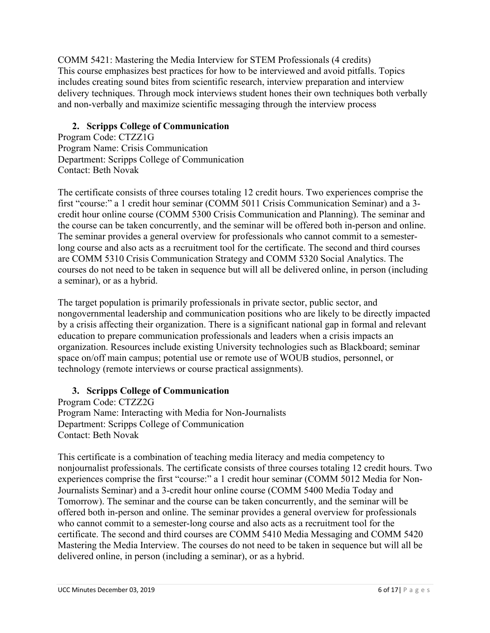COMM 5421: Mastering the Media Interview for STEM Professionals (4 credits) This course emphasizes best practices for how to be interviewed and avoid pitfalls. Topics includes creating sound bites from scientific research, interview preparation and interview delivery techniques. Through mock interviews student hones their own techniques both verbally and non-verbally and maximize scientific messaging through the interview process

## **2. Scripps College of Communication**

Program Code: CTZZ1G Program Name: Crisis Communication Department: Scripps College of Communication Contact: Beth Novak

The certificate consists of three courses totaling 12 credit hours. Two experiences comprise the first "course:" a 1 credit hour seminar (COMM 5011 Crisis Communication Seminar) and a 3 credit hour online course (COMM 5300 Crisis Communication and Planning). The seminar and the course can be taken concurrently, and the seminar will be offered both in-person and online. The seminar provides a general overview for professionals who cannot commit to a semesterlong course and also acts as a recruitment tool for the certificate. The second and third courses are COMM 5310 Crisis Communication Strategy and COMM 5320 Social Analytics. The courses do not need to be taken in sequence but will all be delivered online, in person (including a seminar), or as a hybrid.

The target population is primarily professionals in private sector, public sector, and nongovernmental leadership and communication positions who are likely to be directly impacted by a crisis affecting their organization. There is a significant national gap in formal and relevant education to prepare communication professionals and leaders when a crisis impacts an organization. Resources include existing University technologies such as Blackboard; seminar space on/off main campus; potential use or remote use of WOUB studios, personnel, or technology (remote interviews or course practical assignments).

# **3. Scripps College of Communication**

Program Code: CTZZ2G Program Name: Interacting with Media for Non-Journalists Department: Scripps College of Communication Contact: Beth Novak

This certificate is a combination of teaching media literacy and media competency to nonjournalist professionals. The certificate consists of three courses totaling 12 credit hours. Two experiences comprise the first "course:" a 1 credit hour seminar (COMM 5012 Media for Non-Journalists Seminar) and a 3-credit hour online course (COMM 5400 Media Today and Tomorrow). The seminar and the course can be taken concurrently, and the seminar will be offered both in-person and online. The seminar provides a general overview for professionals who cannot commit to a semester-long course and also acts as a recruitment tool for the certificate. The second and third courses are COMM 5410 Media Messaging and COMM 5420 Mastering the Media Interview. The courses do not need to be taken in sequence but will all be delivered online, in person (including a seminar), or as a hybrid.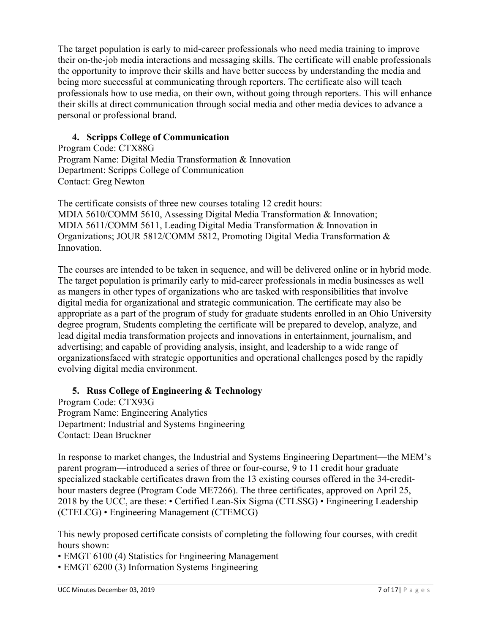The target population is early to mid-career professionals who need media training to improve their on-the-job media interactions and messaging skills. The certificate will enable professionals the opportunity to improve their skills and have better success by understanding the media and being more successful at communicating through reporters. The certificate also will teach professionals how to use media, on their own, without going through reporters. This will enhance their skills at direct communication through social media and other media devices to advance a personal or professional brand.

## **4. Scripps College of Communication**

Program Code: CTX88G Program Name: Digital Media Transformation & Innovation Department: Scripps College of Communication Contact: Greg Newton

The certificate consists of three new courses totaling 12 credit hours: MDIA 5610/COMM 5610, Assessing Digital Media Transformation & Innovation; MDIA 5611/COMM 5611, Leading Digital Media Transformation & Innovation in Organizations; JOUR 5812/COMM 5812, Promoting Digital Media Transformation & Innovation.

The courses are intended to be taken in sequence, and will be delivered online or in hybrid mode. The target population is primarily early to mid-career professionals in media businesses as well as mangers in other types of organizations who are tasked with responsibilities that involve digital media for organizational and strategic communication. The certificate may also be appropriate as a part of the program of study for graduate students enrolled in an Ohio University degree program, Students completing the certificate will be prepared to develop, analyze, and lead digital media transformation projects and innovations in entertainment, journalism, and advertising; and capable of providing analysis, insight, and leadership to a wide range of organizationsfaced with strategic opportunities and operational challenges posed by the rapidly evolving digital media environment.

## **5. Russ College of Engineering & Technology**

Program Code: CTX93G Program Name: Engineering Analytics Department: Industrial and Systems Engineering Contact: Dean Bruckner

In response to market changes, the Industrial and Systems Engineering Department—the MEM's parent program—introduced a series of three or four-course, 9 to 11 credit hour graduate specialized stackable certificates drawn from the 13 existing courses offered in the 34-credithour masters degree (Program Code ME7266). The three certificates, approved on April 25, 2018 by the UCC, are these: • Certified Lean-Six Sigma (CTLSSG) • Engineering Leadership (CTELCG) • Engineering Management (CTEMCG)

This newly proposed certificate consists of completing the following four courses, with credit hours shown:

- EMGT 6100 (4) Statistics for Engineering Management
- EMGT 6200 (3) Information Systems Engineering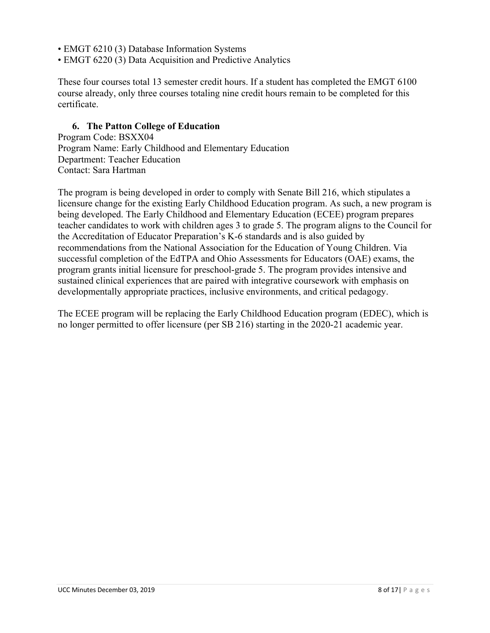- EMGT 6210 (3) Database Information Systems
- EMGT 6220 (3) Data Acquisition and Predictive Analytics

These four courses total 13 semester credit hours. If a student has completed the EMGT 6100 course already, only three courses totaling nine credit hours remain to be completed for this certificate.

### **6. The Patton College of Education**

Program Code: BSXX04 Program Name: Early Childhood and Elementary Education Department: Teacher Education Contact: Sara Hartman

The program is being developed in order to comply with Senate Bill 216, which stipulates a licensure change for the existing Early Childhood Education program. As such, a new program is being developed. The Early Childhood and Elementary Education (ECEE) program prepares teacher candidates to work with children ages 3 to grade 5. The program aligns to the Council for the Accreditation of Educator Preparation's K-6 standards and is also guided by recommendations from the National Association for the Education of Young Children. Via successful completion of the EdTPA and Ohio Assessments for Educators (OAE) exams, the program grants initial licensure for preschool-grade 5. The program provides intensive and sustained clinical experiences that are paired with integrative coursework with emphasis on developmentally appropriate practices, inclusive environments, and critical pedagogy.

The ECEE program will be replacing the Early Childhood Education program (EDEC), which is no longer permitted to offer licensure (per SB 216) starting in the 2020-21 academic year.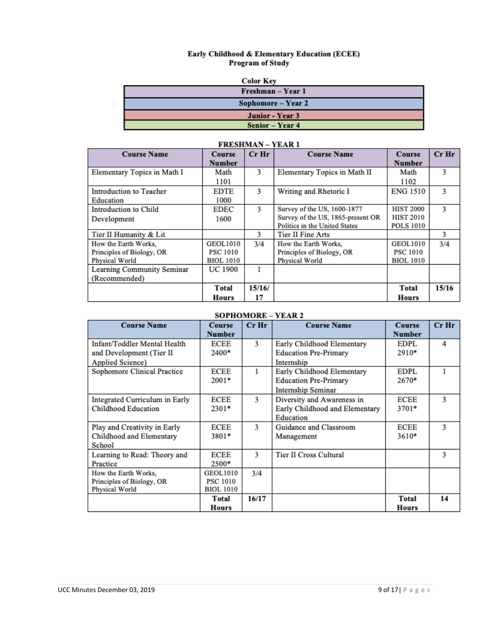# Early Childhood & Elementary Education (ECEE)<br>Program of Study

| Color Kev |  |
|-----------|--|

| Freshman – Year 1  |  |  |  |  |  |  |
|--------------------|--|--|--|--|--|--|
| Sophomore – Year 2 |  |  |  |  |  |  |
| Junior - Year 3    |  |  |  |  |  |  |
| Senior – Year 4    |  |  |  |  |  |  |

| <b>Course Name</b>          | Course          | $Cr$ Hr | <b>Course Name</b>                | Course           | Cr Hr |
|-----------------------------|-----------------|---------|-----------------------------------|------------------|-------|
|                             | Number          |         |                                   | <b>Number</b>    |       |
| Elementary Topics in Math I | Math            | 3       | Elementary Topics in Math II      | Math             | 3     |
|                             | 1101            |         |                                   | 1102             |       |
| Introduction to Teacher     | <b>EDTE</b>     | 3       | Writing and Rhetoric I            | <b>ENG 1510</b>  | 3     |
| Education                   | 1000            |         |                                   |                  |       |
| Introduction to Child       | EDEC            | 3       | Survey of the US, 1600-1877       | <b>HIST 2000</b> | 3     |
| Development                 | 1600            |         | Survey of the US, 1865-present OR | <b>HIST 2010</b> |       |
|                             |                 |         | Politics in the United States     | <b>POLS 1010</b> |       |
| Tier II Humanity & Lit      |                 | 3       | Tier II Fine Arts                 |                  | 3     |
| How the Earth Works.        | <b>GEOL1010</b> | 3/4     | How the Earth Works.              | <b>GEOL1010</b>  | 3/4   |
| Principles of Biology, OR   | PSC 1010        |         | Principles of Biology, OR         | <b>PSC 1010</b>  |       |
| Physical World              | BIOL 1010       |         | Physical World                    | <b>BIOL 1010</b> |       |
| Learning Community Seminar  | <b>UC 1900</b>  | 1       |                                   |                  |       |
| (Recommended)               |                 |         |                                   |                  |       |
|                             | Total           | 15/16/  |                                   | Total            | 15/16 |
|                             | Hours           | 17      |                                   | Hours            |       |

## **FRESHMAN-VEAR1**

### **SOPHOMORE - YEAR 2**

| <b>Course Name</b>             | <b>Course</b><br><b>Number</b> | $Cr$ Hr | <b>Course Name</b>             | Course<br><b>Number</b> | $Cr$ Hr |
|--------------------------------|--------------------------------|---------|--------------------------------|-------------------------|---------|
| Infant/Toddler Mental Health   | ECEE                           | 3       | Early Childhood Elementary     | <b>EDPL</b>             | 4       |
| and Development (Tier II       | 2400*                          |         | <b>Education Pre-Primary</b>   | 2910*                   |         |
| Applied Science)               |                                |         | Internship                     |                         |         |
| Sophomore Clinical Practice    | ECEE                           |         | Early Childhood Elementary     | <b>EDPL</b>             |         |
|                                | $2001*$                        |         | <b>Education Pre-Primary</b>   | 2670*                   |         |
|                                |                                |         | Internship Seminar             |                         |         |
| Integrated Curriculum in Early | ECEE                           | 3       | Diversity and Awareness in     | ECEE                    | 3       |
| Childhood Education            | 2301*                          |         | Early Childhood and Elementary | 3701*                   |         |
|                                |                                |         | Education                      |                         |         |
| Play and Creativity in Early   | ECEE                           | 3       | Guidance and Classroom         | ECEE                    | 3       |
| Childhood and Elementary       | 3801*                          |         | Management                     | 3610*                   |         |
| School                         |                                |         |                                |                         |         |
| Learning to Read: Theory and   | <b>ECEE</b>                    | 3       | Tier II Cross Cultural         |                         | 3       |
| Practice                       | 2500*                          |         |                                |                         |         |
| How the Earth Works,           | <b>GEOL1010</b>                | 3/4     |                                |                         |         |
| Principles of Biology, OR      | <b>PSC 1010</b>                |         |                                |                         |         |
| Physical World                 | <b>BIOL 1010</b>               |         |                                |                         |         |
|                                | Total                          | 16/17   |                                | Total                   | 14      |
|                                | Hours                          |         |                                | Hours                   |         |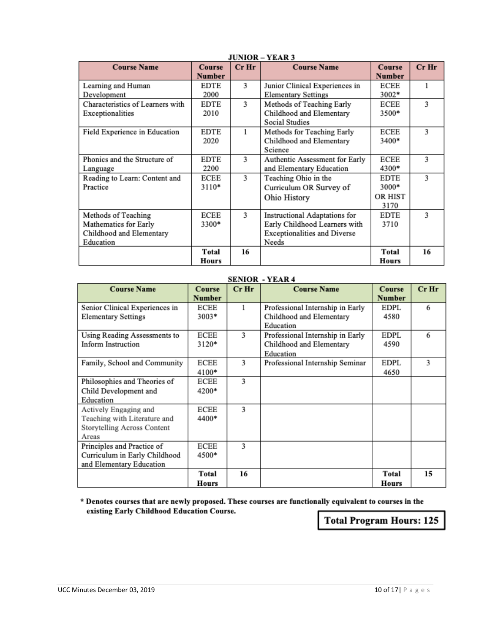| JUNIUR = 1 EAR J                 |               |         |                                     |                |         |
|----------------------------------|---------------|---------|-------------------------------------|----------------|---------|
| <b>Course Name</b>               | <b>Course</b> | $Cr$ Hr | <b>Course Name</b>                  | <b>Course</b>  | $Cr$ Hr |
|                                  | <b>Number</b> |         |                                     | <b>Number</b>  |         |
| Learning and Human               | <b>EDTE</b>   | 3       | Junior Clinical Experiences in      | ECEE           |         |
| Development                      | 2000          |         | <b>Elementary Settings</b>          | 3002*          |         |
| Characteristics of Learners with | EDTE          | 3       | Methods of Teaching Early           | ECEE           | 3       |
| Exceptionalities                 | 2010          |         | Childhood and Elementary            | 3500*          |         |
|                                  |               |         | <b>Social Studies</b>               |                |         |
| Field Experience in Education    | <b>EDTE</b>   | 1       | Methods for Teaching Early          | ECEE           | 3       |
|                                  | 2020          |         | Childhood and Elementary            | 3400*          |         |
|                                  |               |         | Science                             |                |         |
| Phonics and the Structure of     | EDTE          | 3       | Authentic Assessment for Early      | ECEE           | 3       |
| Language                         | 2200          |         | and Elementary Education            | 4300*          |         |
| Reading to Learn: Content and    | ECEE          | 3       | Teaching Ohio in the                | EDTE           | 3       |
| Practice                         | $3110*$       |         | Curriculum OR Survey of             | $3000*$        |         |
|                                  |               |         | Ohio History                        | <b>OR HIST</b> |         |
|                                  |               |         |                                     | 3170           |         |
| Methods of Teaching              | ECEE          | 3       | Instructional Adaptations for       | <b>EDTE</b>    | 3       |
| Mathematics for Early            | 3300*         |         | Early Childhood Learners with       | 3710           |         |
| Childhood and Elementary         |               |         | <b>Exceptionalities and Diverse</b> |                |         |
| Education                        |               |         | Needs                               |                |         |
|                                  | Total         | 16      |                                     | Total          | 16      |
|                                  | Hours         |         |                                     | Hours          |         |

### **HINIOP**  $-VFAD$ <sup>2</sup>

### **SENIOR - YEAR 4**

| <b>Course Name</b>             | Course  | .<br>$Cr$ Hr | <b>Course Name</b>               | <b>Course</b> | Cr Hr |
|--------------------------------|---------|--------------|----------------------------------|---------------|-------|
|                                | Number  |              |                                  | <b>Number</b> |       |
| Senior Clinical Experiences in | ECEE    |              | Professional Internship in Early | EDPL          | 6     |
| <b>Elementary Settings</b>     | $3003*$ |              | Childhood and Elementary         | 4580          |       |
|                                |         |              | Education                        |               |       |
| Using Reading Assessments to   | ECEE    | 3            | Professional Internship in Early | EDPL          | 6     |
| Inform Instruction             | 3120*   |              | Childhood and Elementary         | 4590          |       |
|                                |         |              | Education                        |               |       |
| Family, School and Community   | ECEE    | 3            | Professional Internship Seminar  | EDPL          | 3     |
|                                | 4100*   |              |                                  | 4650          |       |
| Philosophies and Theories of   | ECEE    | 3            |                                  |               |       |
| Child Development and          | 4200*   |              |                                  |               |       |
| Education                      |         |              |                                  |               |       |
| Actively Engaging and          | ECEE    | 3            |                                  |               |       |
| Teaching with Literature and   | 4400*   |              |                                  |               |       |
| Storytelling Across Content    |         |              |                                  |               |       |
| Areas                          |         |              |                                  |               |       |
| Principles and Practice of     | ECEE    | 3            |                                  |               |       |
| Curriculum in Early Childhood  | 4500*   |              |                                  |               |       |
| and Elementary Education       |         |              |                                  |               |       |
|                                | Total   | 16           |                                  | <b>Total</b>  | 15    |
|                                | Hours   |              |                                  | Hours         |       |

#### \* Denotes courses that are newly proposed. These courses are functionally equivalent to courses in the existing Early Childhood Education Course.

**Total Program Hours: 125**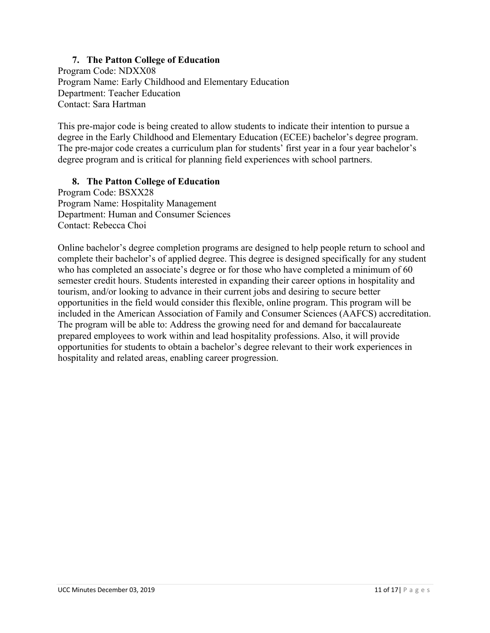## **7. The Patton College of Education**

Program Code: NDXX08 Program Name: Early Childhood and Elementary Education Department: Teacher Education Contact: Sara Hartman

This pre-major code is being created to allow students to indicate their intention to pursue a degree in the Early Childhood and Elementary Education (ECEE) bachelor's degree program. The pre-major code creates a curriculum plan for students' first year in a four year bachelor's degree program and is critical for planning field experiences with school partners.

### **8. The Patton College of Education**

Program Code: BSXX28 Program Name: Hospitality Management Department: Human and Consumer Sciences Contact: Rebecca Choi

Online bachelor's degree completion programs are designed to help people return to school and complete their bachelor's of applied degree. This degree is designed specifically for any student who has completed an associate's degree or for those who have completed a minimum of 60 semester credit hours. Students interested in expanding their career options in hospitality and tourism, and/or looking to advance in their current jobs and desiring to secure better opportunities in the field would consider this flexible, online program. This program will be included in the American Association of Family and Consumer Sciences (AAFCS) accreditation. The program will be able to: Address the growing need for and demand for baccalaureate prepared employees to work within and lead hospitality professions. Also, it will provide opportunities for students to obtain a bachelor's degree relevant to their work experiences in hospitality and related areas, enabling career progression.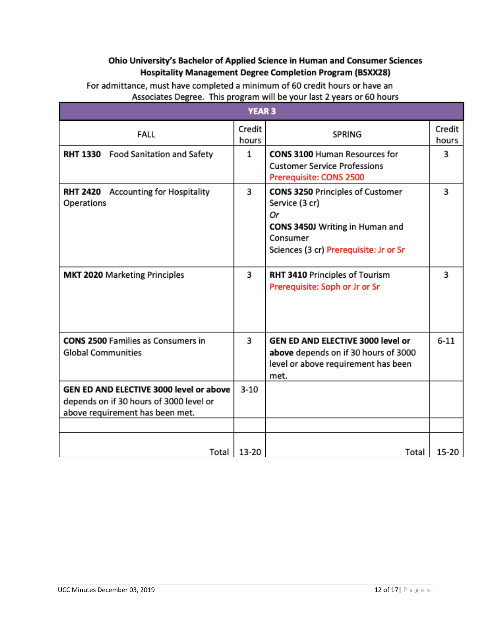## Ohio University's Bachelor of Applied Science in Human and Consumer Sciences Hospitality Management Degree Completion Program (BSXX28)

| <b>YEAR 3</b>                                                                                                         |                 |                                                                                                                                                          |                 |  |
|-----------------------------------------------------------------------------------------------------------------------|-----------------|----------------------------------------------------------------------------------------------------------------------------------------------------------|-----------------|--|
| <b>FALL</b>                                                                                                           | Credit<br>hours | <b>SPRING</b>                                                                                                                                            | Credit<br>hours |  |
| <b>RHT 1330</b> Food Sanitation and Safety                                                                            | $\mathbf{1}$    | <b>CONS 3100 Human Resources for</b><br><b>Customer Service Professions</b><br>Prerequisite: CONS 2500                                                   | 3               |  |
| <b>RHT 2420</b> Accounting for Hospitality<br>Operations                                                              | 3               | <b>CONS 3250 Principles of Customer</b><br>Service (3 cr)<br>Оr<br>CONS 3450J Writing in Human and<br>Consumer<br>Sciences (3 cr) Prerequisite: Jr or Sr | 3               |  |
| <b>MKT 2020 Marketing Principles</b>                                                                                  | 3               | RHT 3410 Principles of Tourism<br>Prerequisite: Soph or Jr or Sr                                                                                         | 3               |  |
| <b>CONS 2500 Families as Consumers in</b><br><b>Global Communities</b>                                                | 3               | GEN ED AND ELECTIVE 3000 level or<br>above depends on if 30 hours of 3000<br>level or above requirement has been<br>met.                                 | $6 - 11$        |  |
| GEN ED AND ELECTIVE 3000 level or above<br>depends on if 30 hours of 3000 level or<br>above requirement has been met. | $3 - 10$        |                                                                                                                                                          |                 |  |
| Total                                                                                                                 | 13-20           | Total                                                                                                                                                    | 15-20           |  |

For admittance, must have completed a minimum of 60 credit hours or have an Associates Degree. This program will be your last 2 years or 60 hours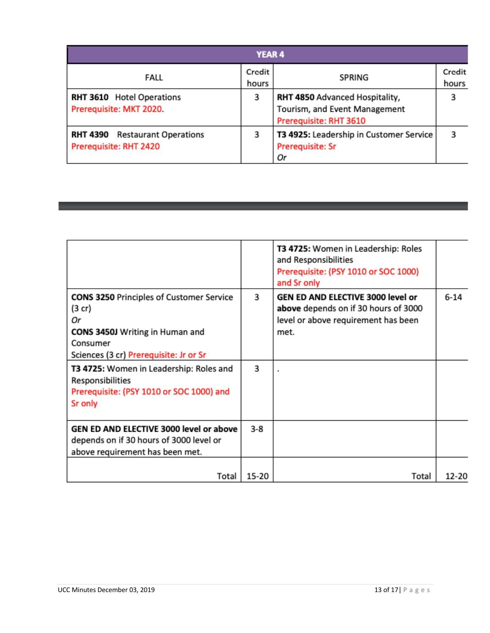| <b>YEAR 4</b>                                                   |                 |                                                                                           |                 |  |  |
|-----------------------------------------------------------------|-----------------|-------------------------------------------------------------------------------------------|-----------------|--|--|
| FALL                                                            | Credit<br>hours | SPRING                                                                                    | Credit<br>hours |  |  |
| <b>RHT 3610</b> Hotel Operations<br>Prerequisite: MKT 2020.     | з               | RHT 4850 Advanced Hospitality,<br>Tourism, and Event Management<br>Prerequisite: RHT 3610 |                 |  |  |
| <b>RHT 4390</b> Restaurant Operations<br>Prerequisite: RHT 2420 | 3               | T3 4925: Leadership in Customer Service<br><b>Prerequisite: Sr</b><br>Оr                  |                 |  |  |

|                                                                                                                                                                   |       | T3 4725: Women in Leadership: Roles<br>and Responsibilities<br>Prerequisite: (PSY 1010 or SOC 1000)<br>and Sr only       |          |
|-------------------------------------------------------------------------------------------------------------------------------------------------------------------|-------|--------------------------------------------------------------------------------------------------------------------------|----------|
| <b>CONS 3250 Principles of Customer Service</b><br>$(3$ cr)<br>Оr<br><b>CONS 3450J Writing in Human and</b><br>Consumer<br>Sciences (3 cr) Prerequisite: Jr or Sr | 3     | GEN ED AND ELECTIVE 3000 level or<br>above depends on if 30 hours of 3000<br>level or above requirement has been<br>met. | $6 - 14$ |
| T3 4725: Women in Leadership: Roles and<br>Responsibilities<br>Prerequisite: (PSY 1010 or SOC 1000) and<br>Sr only                                                | 3     | ٠                                                                                                                        |          |
| GEN ED AND ELECTIVE 3000 level or above<br>depends on if 30 hours of 3000 level or<br>above requirement has been met.                                             | 3-8   |                                                                                                                          |          |
| Total                                                                                                                                                             | 15-20 | Total                                                                                                                    | 12-20    |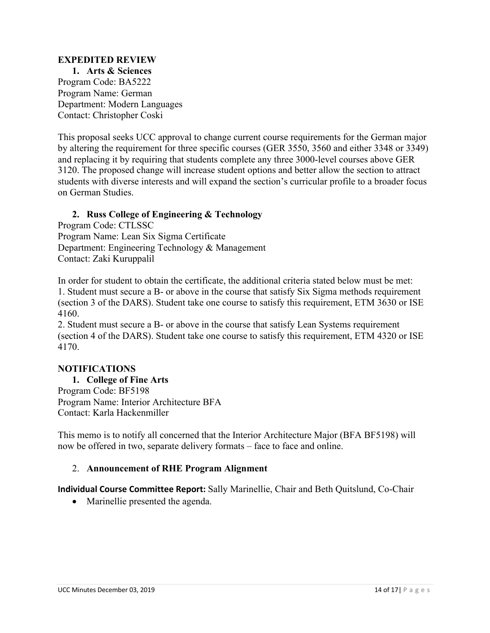## **EXPEDITED REVIEW**

**1. Arts & Sciences**  Program Code: BA5222 Program Name: German Department: Modern Languages Contact: Christopher Coski

This proposal seeks UCC approval to change current course requirements for the German major by altering the requirement for three specific courses (GER 3550, 3560 and either 3348 or 3349) and replacing it by requiring that students complete any three 3000-level courses above GER 3120. The proposed change will increase student options and better allow the section to attract students with diverse interests and will expand the section's curricular profile to a broader focus on German Studies.

## **2. Russ College of Engineering & Technology**

Program Code: CTLSSC Program Name: Lean Six Sigma Certificate Department: Engineering Technology & Management Contact: Zaki Kuruppalil

In order for student to obtain the certificate, the additional criteria stated below must be met: 1. Student must secure a B- or above in the course that satisfy Six Sigma methods requirement (section 3 of the DARS). Student take one course to satisfy this requirement, ETM 3630 or ISE 4160.

2. Student must secure a B- or above in the course that satisfy Lean Systems requirement (section 4 of the DARS). Student take one course to satisfy this requirement, ETM 4320 or ISE 4170.

### **NOTIFICATIONS**

**1. College of Fine Arts**  Program Code: BF5198 Program Name: Interior Architecture BFA Contact: Karla Hackenmiller

This memo is to notify all concerned that the Interior Architecture Major (BFA BF5198) will now be offered in two, separate delivery formats – face to face and online.

### 2. **Announcement of RHE Program Alignment**

**Individual Course Committee Report:** Sally Marinellie, Chair and Beth Quitslund, Co-Chair

• Marinellie presented the agenda.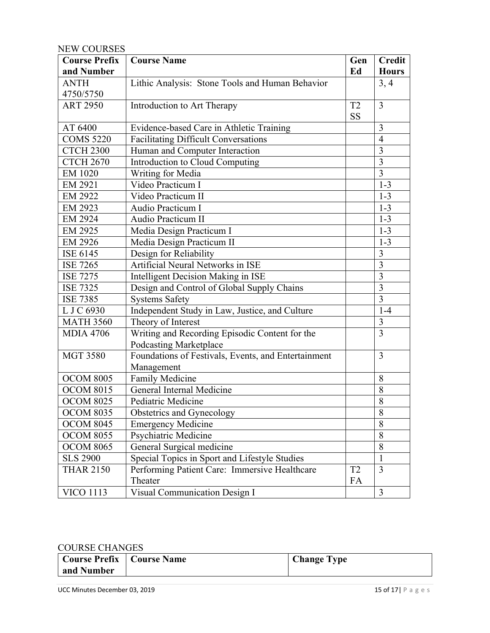## NEW COURSES

| <b>Course Prefix</b> | <b>Course Name</b>                                  | Gen            | <b>Credit</b>  |
|----------------------|-----------------------------------------------------|----------------|----------------|
| and Number           |                                                     | Ed             | <b>Hours</b>   |
| <b>ANTH</b>          | Lithic Analysis: Stone Tools and Human Behavior     |                | 3, 4           |
| 4750/5750            |                                                     |                |                |
| <b>ART 2950</b>      | Introduction to Art Therapy                         | T <sub>2</sub> | $\overline{3}$ |
|                      |                                                     | <b>SS</b>      |                |
| AT 6400              | Evidence-based Care in Athletic Training            |                | 3              |
| <b>COMS 5220</b>     | <b>Facilitating Difficult Conversations</b>         |                | $\overline{4}$ |
| <b>CTCH 2300</b>     | Human and Computer Interaction                      |                | 3              |
| <b>CTCH 2670</b>     | Introduction to Cloud Computing                     |                | $\overline{3}$ |
| EM 1020              | Writing for Media                                   |                | $\overline{3}$ |
| EM 2921              | Video Practicum I                                   |                | $1-3$          |
| EM 2922              | Video Practicum II                                  |                | $1 - 3$        |
| EM 2923              | Audio Practicum I                                   |                | $1 - 3$        |
| EM 2924              | Audio Practicum II                                  |                | $1 - 3$        |
| EM 2925              | Media Design Practicum I                            |                | $1 - 3$        |
| EM 2926              | Media Design Practicum II                           |                | $1 - 3$        |
| ISE 6145             | Design for Reliability                              |                | $\overline{3}$ |
| <b>ISE 7265</b>      | Artificial Neural Networks in ISE                   |                | 3              |
| <b>ISE 7275</b>      | Intelligent Decision Making in ISE                  |                | 3              |
| <b>ISE 7325</b>      | Design and Control of Global Supply Chains          |                | 3              |
| <b>ISE 7385</b>      | <b>Systems Safety</b>                               |                | $\overline{3}$ |
| L J C 6930           | Independent Study in Law, Justice, and Culture      |                | $1-4$          |
| <b>MATH 3560</b>     | Theory of Interest                                  |                | 3              |
| <b>MDIA 4706</b>     | Writing and Recording Episodic Content for the      |                | 3              |
|                      | Podcasting Marketplace                              |                |                |
| <b>MGT 3580</b>      | Foundations of Festivals, Events, and Entertainment |                | $\overline{3}$ |
|                      | Management                                          |                |                |
| <b>OCOM 8005</b>     | Family Medicine                                     |                | 8              |
| <b>OCOM 8015</b>     | General Internal Medicine                           |                | 8              |
| <b>OCOM 8025</b>     | Pediatric Medicine                                  |                | 8              |
| <b>OCOM 8035</b>     | Obstetrics and Gynecology                           |                | $\overline{8}$ |
| <b>OCOM 8045</b>     | <b>Emergency Medicine</b>                           |                | 8              |
| <b>OCOM 8055</b>     | Psychiatric Medicine                                |                | 8              |
| <b>OCOM 8065</b>     | General Surgical medicine                           |                | 8              |
| <b>SLS 2900</b>      | Special Topics in Sport and Lifestyle Studies       |                | $\mathbf{1}$   |
| <b>THAR 2150</b>     | Performing Patient Care: Immersive Healthcare       | T <sub>2</sub> | $\overline{3}$ |
|                      | Theater                                             | FA             |                |
| <b>VICO 1113</b>     | Visual Communication Design I                       |                | 3              |

### COURSE CHANGES

| $\sim$                             |  |                    |  |  |  |  |  |  |
|------------------------------------|--|--------------------|--|--|--|--|--|--|
| <b>Course Prefix   Course Name</b> |  | <b>Change Type</b> |  |  |  |  |  |  |
| and Number                         |  |                    |  |  |  |  |  |  |
|                                    |  |                    |  |  |  |  |  |  |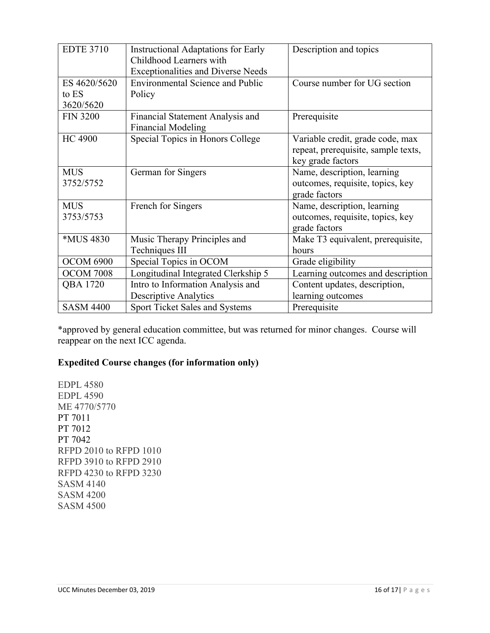| <b>EDTE 3710</b> | <b>Instructional Adaptations for Early</b> | Description and topics              |
|------------------|--------------------------------------------|-------------------------------------|
|                  | Childhood Learners with                    |                                     |
|                  | <b>Exceptionalities and Diverse Needs</b>  |                                     |
| ES 4620/5620     | <b>Environmental Science and Public</b>    | Course number for UG section        |
| to ES            | Policy                                     |                                     |
| 3620/5620        |                                            |                                     |
| <b>FIN 3200</b>  | Financial Statement Analysis and           | Prerequisite                        |
|                  | <b>Financial Modeling</b>                  |                                     |
| <b>HC 4900</b>   | Special Topics in Honors College           | Variable credit, grade code, max    |
|                  |                                            | repeat, prerequisite, sample texts, |
|                  |                                            | key grade factors                   |
| <b>MUS</b>       | German for Singers                         | Name, description, learning         |
| 3752/5752        |                                            | outcomes, requisite, topics, key    |
|                  |                                            | grade factors                       |
| <b>MUS</b>       | French for Singers                         | Name, description, learning         |
| 3753/5753        |                                            | outcomes, requisite, topics, key    |
|                  |                                            | grade factors                       |
| *MUS 4830        | Music Therapy Principles and               | Make T3 equivalent, prerequisite,   |
|                  | Techniques III                             | hours                               |
| <b>OCOM 6900</b> | Special Topics in OCOM                     | Grade eligibility                   |
| <b>OCOM 7008</b> | Longitudinal Integrated Clerkship 5        | Learning outcomes and description   |
| QBA 1720         | Intro to Information Analysis and          | Content updates, description,       |
|                  | <b>Descriptive Analytics</b>               | learning outcomes                   |
| <b>SASM 4400</b> | <b>Sport Ticket Sales and Systems</b>      | Prerequisite                        |

\*approved by general education committee, but was returned for minor changes. Course will reappear on the next ICC agenda.

# **Expedited Course changes (for information only)**

EDPL 4580 EDPL 4590 ME 4770/5770 PT 7011 PT 7012 PT 7042 RFPD 2010 to RFPD 1010 RFPD 3910 to RFPD 2910 RFPD 4230 to RFPD 3230 SASM 4140 SASM 4200 SASM 4500